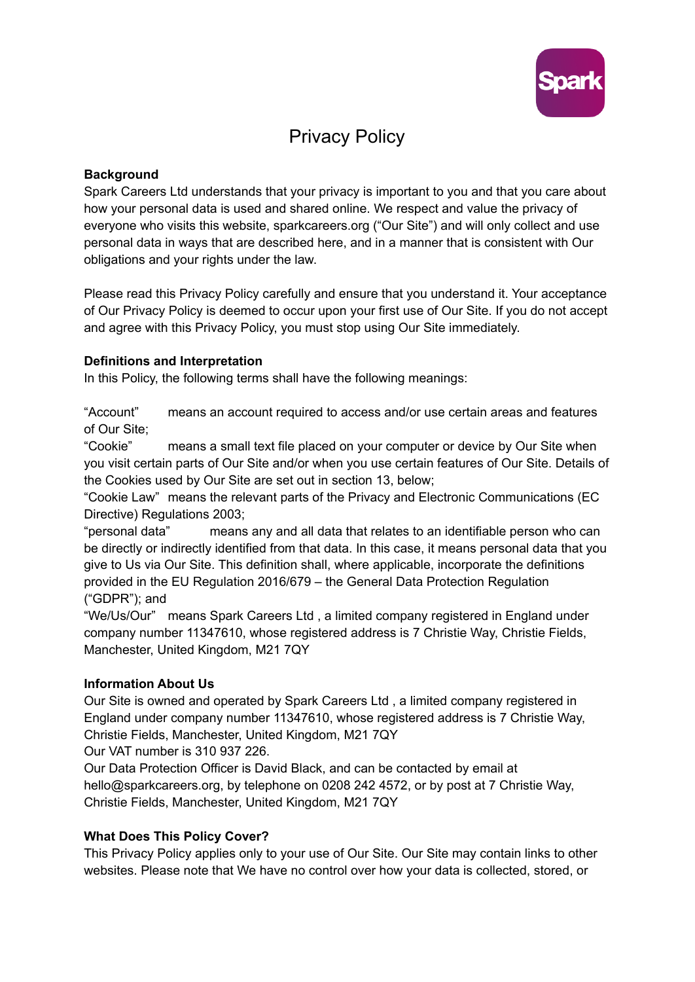

# Privacy Policy

## **Background**

Spark Careers Ltd understands that your privacy is important to you and that you care about how your personal data is used and shared online. We respect and value the privacy of everyone who visits this website, sparkcareers.org ("Our Site") and will only collect and use personal data in ways that are described here, and in a manner that is consistent with Our obligations and your rights under the law.

Please read this Privacy Policy carefully and ensure that you understand it. Your acceptance of Our Privacy Policy is deemed to occur upon your first use of Our Site. If you do not accept and agree with this Privacy Policy, you must stop using Our Site immediately.

### **Definitions and Interpretation**

In this Policy, the following terms shall have the following meanings:

"Account" means an account required to access and/or use certain areas and features of Our Site;

"Cookie" means a small text file placed on your computer or device by Our Site when you visit certain parts of Our Site and/or when you use certain features of Our Site. Details of the Cookies used by Our Site are set out in section 13, below;

"Cookie Law" means the relevant parts of the Privacy and Electronic Communications (EC Directive) Regulations 2003;

"personal data" means any and all data that relates to an identifiable person who can be directly or indirectly identified from that data. In this case, it means personal data that you give to Us via Our Site. This definition shall, where applicable, incorporate the definitions provided in the EU Regulation 2016/679 – the General Data Protection Regulation ("GDPR"); and

"We/Us/Our" means Spark Careers Ltd , a limited company registered in England under company number 11347610, whose registered address is 7 Christie Way, Christie Fields, Manchester, United Kingdom, M21 7QY

# **Information About Us**

Our Site is owned and operated by Spark Careers Ltd , a limited company registered in England under company number 11347610, whose registered address is 7 Christie Way, Christie Fields, Manchester, United Kingdom, M21 7QY

Our VAT number is 310 937 226.

Our Data Protection Officer is David Black, and can be contacted by email at hello@sparkcareers.org, by telephone on 0208 242 4572, or by post at 7 Christie Way, Christie Fields, Manchester, United Kingdom, M21 7QY

# **What Does This Policy Cover?**

This Privacy Policy applies only to your use of Our Site. Our Site may contain links to other websites. Please note that We have no control over how your data is collected, stored, or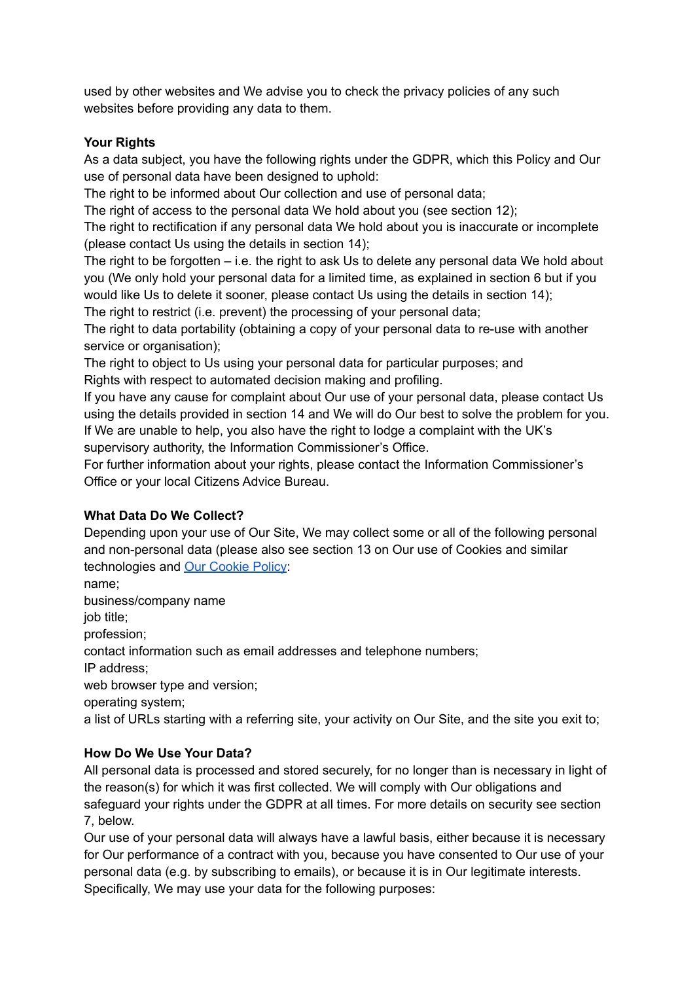used by other websites and We advise you to check the privacy policies of any such websites before providing any data to them.

# **Your Rights**

As a data subject, you have the following rights under the GDPR, which this Policy and Our use of personal data have been designed to uphold:

The right to be informed about Our collection and use of personal data;

The right of access to the personal data We hold about you (see section 12);

The right to rectification if any personal data We hold about you is inaccurate or incomplete (please contact Us using the details in section 14);

The right to be forgotten – i.e. the right to ask Us to delete any personal data We hold about you (We only hold your personal data for a limited time, as explained in section 6 but if you would like Us to delete it sooner, please contact Us using the details in section 14);

The right to restrict (i.e. prevent) the processing of your personal data;

The right to data portability (obtaining a copy of your personal data to re-use with another service or organisation);

The right to object to Us using your personal data for particular purposes; and Rights with respect to automated decision making and profiling.

If you have any cause for complaint about Our use of your personal data, please contact Us using the details provided in section 14 and We will do Our best to solve the problem for you. If We are unable to help, you also have the right to lodge a complaint with the UK's supervisory authority, the Information Commissioner's Office.

For further information about your rights, please contact the Information Commissioner's Office or your local Citizens Advice Bureau.

# **What Data Do We Collect?**

Depending upon your use of Our Site, We may collect some or all of the following personal and non-personal data (please also see section 13 on Our use of Cookies and similar technologies and Our [Cookie](https://www.sparkcareers.org/_files/ugd/64b09e_f394369f41044d90b51bbf4bd29bc8c0.pdf) Policy:

name; business/company name job title; profession; contact information such as email addresses and telephone numbers; IP address; web browser type and version; operating system;

a list of URLs starting with a referring site, your activity on Our Site, and the site you exit to;

# **How Do We Use Your Data?**

All personal data is processed and stored securely, for no longer than is necessary in light of the reason(s) for which it was first collected. We will comply with Our obligations and safeguard your rights under the GDPR at all times. For more details on security see section 7, below.

Our use of your personal data will always have a lawful basis, either because it is necessary for Our performance of a contract with you, because you have consented to Our use of your personal data (e.g. by subscribing to emails), or because it is in Our legitimate interests. Specifically, We may use your data for the following purposes: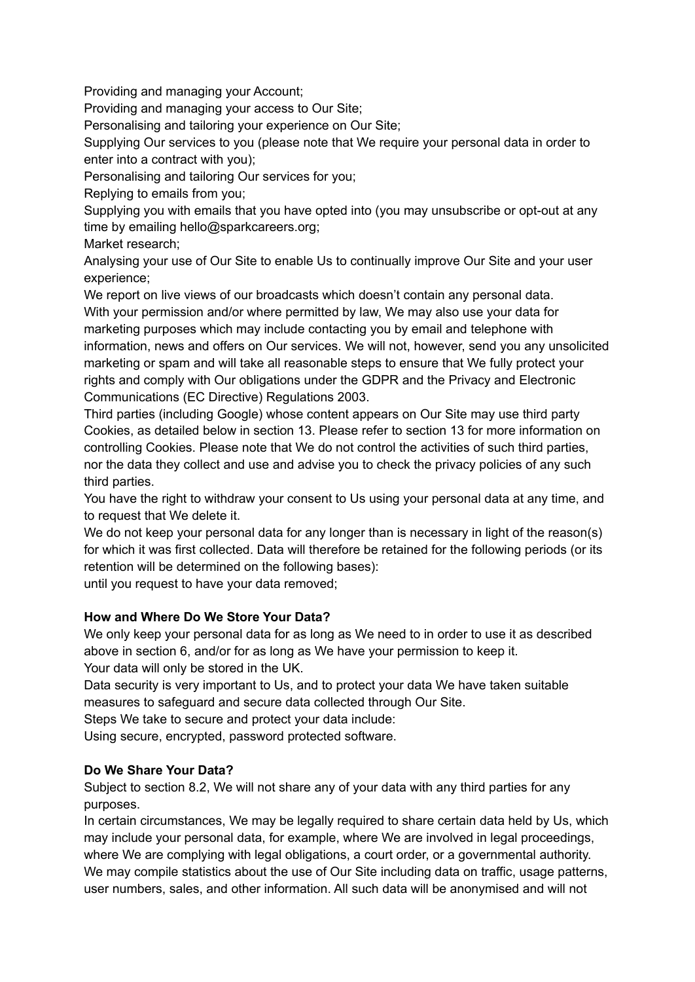Providing and managing your Account;

Providing and managing your access to Our Site;

Personalising and tailoring your experience on Our Site;

Supplying Our services to you (please note that We require your personal data in order to enter into a contract with you);

Personalising and tailoring Our services for you;

Replying to emails from you;

Supplying you with emails that you have opted into (you may unsubscribe or opt-out at any time by emailing hello@sparkcareers.org;

Market research;

Analysing your use of Our Site to enable Us to continually improve Our Site and your user experience;

We report on live views of our broadcasts which doesn't contain any personal data. With your permission and/or where permitted by law, We may also use your data for marketing purposes which may include contacting you by email and telephone with information, news and offers on Our services. We will not, however, send you any unsolicited marketing or spam and will take all reasonable steps to ensure that We fully protect your rights and comply with Our obligations under the GDPR and the Privacy and Electronic Communications (EC Directive) Regulations 2003.

Third parties (including Google) whose content appears on Our Site may use third party Cookies, as detailed below in section 13. Please refer to section 13 for more information on controlling Cookies. Please note that We do not control the activities of such third parties, nor the data they collect and use and advise you to check the privacy policies of any such third parties.

You have the right to withdraw your consent to Us using your personal data at any time, and to request that We delete it.

We do not keep your personal data for any longer than is necessary in light of the reason(s) for which it was first collected. Data will therefore be retained for the following periods (or its retention will be determined on the following bases):

until you request to have your data removed;

# **How and Where Do We Store Your Data?**

We only keep your personal data for as long as We need to in order to use it as described above in section 6, and/or for as long as We have your permission to keep it. Your data will only be stored in the UK.

Data security is very important to Us, and to protect your data We have taken suitable measures to safeguard and secure data collected through Our Site.

Steps We take to secure and protect your data include:

Using secure, encrypted, password protected software.

# **Do We Share Your Data?**

Subject to section 8.2, We will not share any of your data with any third parties for any purposes.

In certain circumstances, We may be legally required to share certain data held by Us, which may include your personal data, for example, where We are involved in legal proceedings, where We are complying with legal obligations, a court order, or a governmental authority. We may compile statistics about the use of Our Site including data on traffic, usage patterns, user numbers, sales, and other information. All such data will be anonymised and will not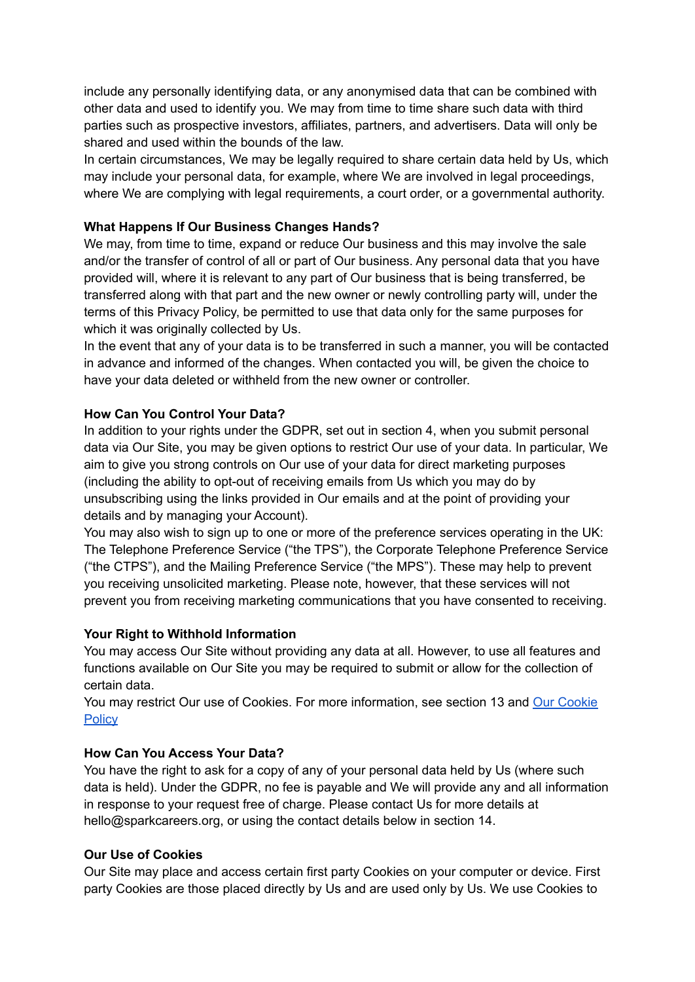include any personally identifying data, or any anonymised data that can be combined with other data and used to identify you. We may from time to time share such data with third parties such as prospective investors, affiliates, partners, and advertisers. Data will only be shared and used within the bounds of the law.

In certain circumstances, We may be legally required to share certain data held by Us, which may include your personal data, for example, where We are involved in legal proceedings, where We are complying with legal requirements, a court order, or a governmental authority.

### **What Happens If Our Business Changes Hands?**

We may, from time to time, expand or reduce Our business and this may involve the sale and/or the transfer of control of all or part of Our business. Any personal data that you have provided will, where it is relevant to any part of Our business that is being transferred, be transferred along with that part and the new owner or newly controlling party will, under the terms of this Privacy Policy, be permitted to use that data only for the same purposes for which it was originally collected by Us.

In the event that any of your data is to be transferred in such a manner, you will be contacted in advance and informed of the changes. When contacted you will, be given the choice to have your data deleted or withheld from the new owner or controller.

### **How Can You Control Your Data?**

In addition to your rights under the GDPR, set out in section 4, when you submit personal data via Our Site, you may be given options to restrict Our use of your data. In particular, We aim to give you strong controls on Our use of your data for direct marketing purposes (including the ability to opt-out of receiving emails from Us which you may do by unsubscribing using the links provided in Our emails and at the point of providing your details and by managing your Account).

You may also wish to sign up to one or more of the preference services operating in the UK: The Telephone Preference Service ("the TPS"), the Corporate Telephone Preference Service ("the CTPS"), and the Mailing Preference Service ("the MPS"). These may help to prevent you receiving unsolicited marketing. Please note, however, that these services will not prevent you from receiving marketing communications that you have consented to receiving.

#### **Your Right to Withhold Information**

You may access Our Site without providing any data at all. However, to use all features and functions available on Our Site you may be required to submit or allow for the collection of certain data.

You may restrict Our use of Cookies. For more information, see section 13 and Our [Cookie](https://www.sparkcareers.org/_files/ugd/64b09e_f394369f41044d90b51bbf4bd29bc8c0.pdf) **[Policy](https://www.sparkcareers.org/_files/ugd/64b09e_f394369f41044d90b51bbf4bd29bc8c0.pdf)** 

#### **How Can You Access Your Data?**

You have the right to ask for a copy of any of your personal data held by Us (where such data is held). Under the GDPR, no fee is payable and We will provide any and all information in response to your request free of charge. Please contact Us for more details at hello@sparkcareers.org, or using the contact details below in section 14.

#### **Our Use of Cookies**

Our Site may place and access certain first party Cookies on your computer or device. First party Cookies are those placed directly by Us and are used only by Us. We use Cookies to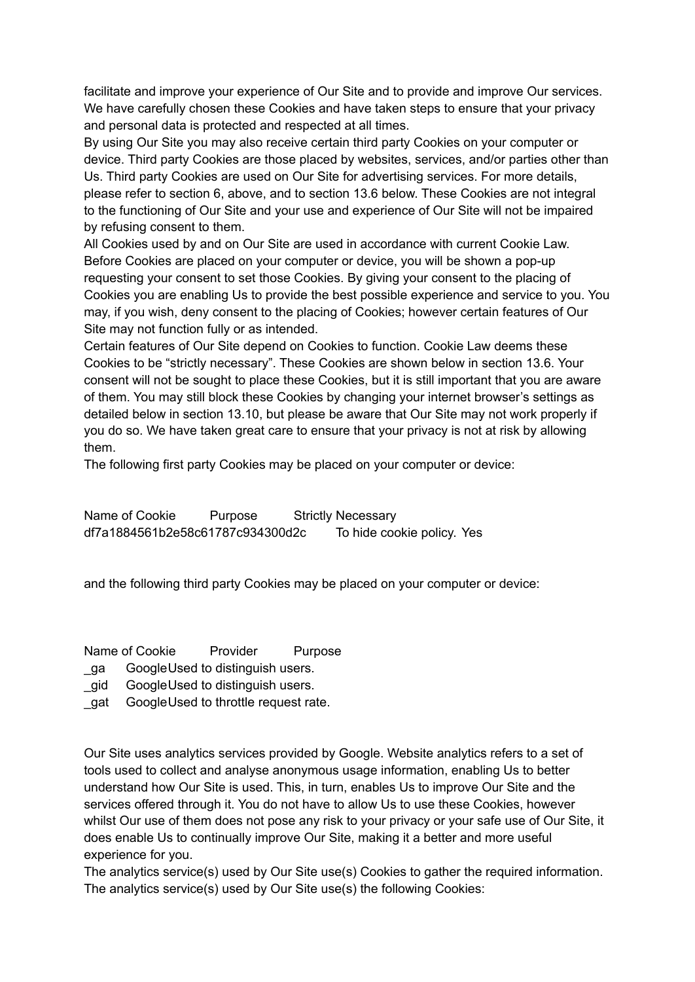facilitate and improve your experience of Our Site and to provide and improve Our services. We have carefully chosen these Cookies and have taken steps to ensure that your privacy and personal data is protected and respected at all times.

By using Our Site you may also receive certain third party Cookies on your computer or device. Third party Cookies are those placed by websites, services, and/or parties other than Us. Third party Cookies are used on Our Site for advertising services. For more details, please refer to section 6, above, and to section 13.6 below. These Cookies are not integral to the functioning of Our Site and your use and experience of Our Site will not be impaired by refusing consent to them.

All Cookies used by and on Our Site are used in accordance with current Cookie Law. Before Cookies are placed on your computer or device, you will be shown a pop-up requesting your consent to set those Cookies. By giving your consent to the placing of Cookies you are enabling Us to provide the best possible experience and service to you. You may, if you wish, deny consent to the placing of Cookies; however certain features of Our Site may not function fully or as intended.

Certain features of Our Site depend on Cookies to function. Cookie Law deems these Cookies to be "strictly necessary". These Cookies are shown below in section 13.6. Your consent will not be sought to place these Cookies, but it is still important that you are aware of them. You may still block these Cookies by changing your internet browser's settings as detailed below in section 13.10, but please be aware that Our Site may not work properly if you do so. We have taken great care to ensure that your privacy is not at risk by allowing them.

The following first party Cookies may be placed on your computer or device:

Name of Cookie Purpose Strictly Necessary df7a1884561b2e58c61787c934300d2c To hide cookie policy. Yes

and the following third party Cookies may be placed on your computer or device:

Name of Cookie Provider Purpose

- ga GoogleUsed to distinguish users.
- qid GoogleUsed to distinguish users.
- gat GoogleUsed to throttle request rate.

Our Site uses analytics services provided by Google. Website analytics refers to a set of tools used to collect and analyse anonymous usage information, enabling Us to better understand how Our Site is used. This, in turn, enables Us to improve Our Site and the services offered through it. You do not have to allow Us to use these Cookies, however whilst Our use of them does not pose any risk to your privacy or your safe use of Our Site, it does enable Us to continually improve Our Site, making it a better and more useful experience for you.

The analytics service(s) used by Our Site use(s) Cookies to gather the required information. The analytics service(s) used by Our Site use(s) the following Cookies: